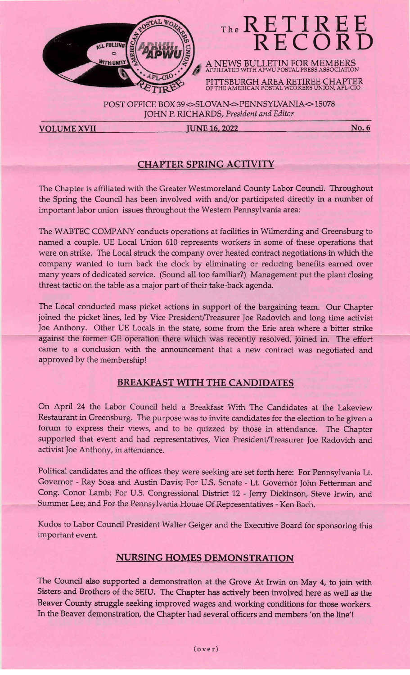

# The RETIRE

A NEWS BULLETIN FOR MEMBERS AFFILIATED WITH APWU POSTAL PRESS ASSOCIATION PITTSBURGH AREA RETIREE CHAPTER oF THE AMERICAN POSTAL WORKERS UNION AFL-CIO

POST OFFICE BOX 39 $\infty$ SLOVAN $\infty$  PENNSYLVANIA $\infty$ 15078 JOHN P. RICHARDS, President and Editor

VOLUME XVII JUNE 16, 2022 No. 6

#### CHAPTER SPRING ACTIVITY

The Chapter is affiliated with the Greater Westmoreland County Labor Council. Throughout the Spring the Council has been involved with and/or participated directly in a number of important labor union issues throughout the Westem Pennsylvania area:

The WABTEC COMPANY conducts operations at facilities in Wilmerding and Greensburg to named a couple. UE Local Union 610 represents workers in some of these operations that were on strike. The Local struck the company over heated contract negotiations in which the company wanted to turn back the clock by eliminating or reducing benefits eamed over many years of dedicated service. (Sound all too familiar?) Management put the plant closing threat tactic on the table as a major part of their take-back agenda.

The Local conducted mass picket actions in support of the bargaining team. Our Chapter joined the picket lines, led by Vice President/Treasurer Joe Radovich and long time activist loe Anthony. Other UE Locals in the state, some from the Erie area where a bitter strike against the former GE operation there which was recently resolved, joined in. The effort carne to a condusion with the announcement that a new contract was negotiated and approved by the membership!

#### BREAKFAST WITH THE CANDIDATES

On April 24 the Labor Council held a Breakfast With The Candidates at the Lakeview Restaurant in Greensburg. The purpose was to invite candidates for the election to be given a forum to express their views, and to be quizzed by those in attendance. The Chapter supported that event and had representatives, Vice President/Treasurer Joe Radovich and activist Joe Anthony, in attendance.

Political candidates and the offices they were seeking are set forth here: For Pennsylvania Lt. Governor - Ray Sosa and Austin Davis; For U.S. Senate - Lt. Governor John Fetterman and Cong. Conor Lamb; For U.S. Congressional District 12 - Jerry Dickinson, Steve Irwin, and Summer Lee; and For the Pennsylvania House Of Representatives - Ken Bach.

Kudos to Labor Council President Walter Geiger and the Executive Board for sponsoring this important event.

#### NURSING HOMES DEMONSTRATION

The Council also supported a demonstration at the Grove At Irwin on May 4, to join with Sisters and Brothers of the SEIU. The Chapter has actively been involved here as well as the Beaver County struggle seeking improved wages and working conditions for those workers. In the Beaver demonstration, the Chapter had several officers and members 'on the line'!